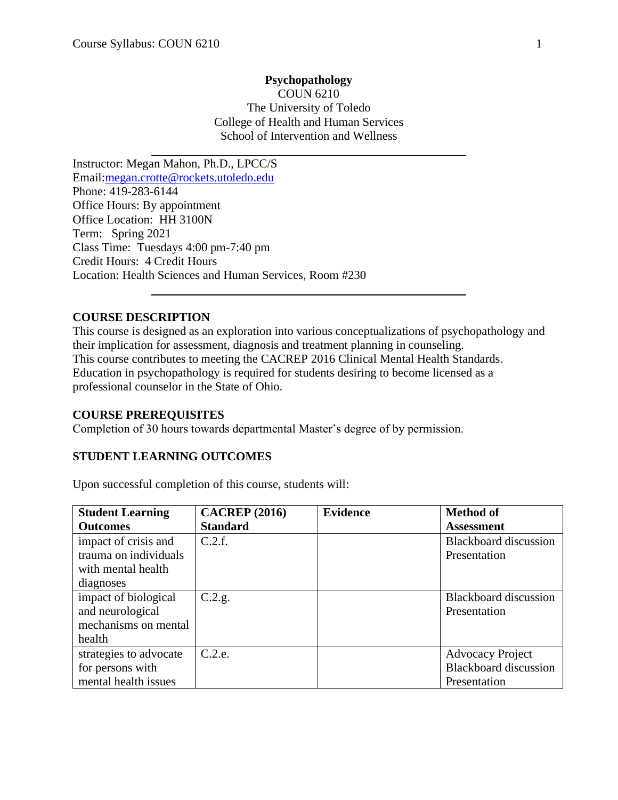$\overline{a}$ 

## **Psychopathology** COUN 6210 The University of Toledo College of Health and Human Services School of Intervention and Wellness

Instructor: Megan Mahon, Ph.D., LPCC/S Email[:megan.crotte@rockets.utoledo.edu](mailto:megan.crotte@rockets.utoledo.edu) Phone: 419-283-6144 Office Hours: By appointment Office Location: HH 3100N Term: Spring 2021 Class Time: Tuesdays 4:00 pm-7:40 pm Credit Hours: 4 Credit Hours Location: Health Sciences and Human Services, Room #230

### **COURSE DESCRIPTION**

l

This course is designed as an exploration into various conceptualizations of psychopathology and their implication for assessment, diagnosis and treatment planning in counseling. This course contributes to meeting the CACREP 2016 Clinical Mental Health Standards. Education in psychopathology is required for students desiring to become licensed as a professional counselor in the State of Ohio.

### **COURSE PREREQUISITES**

Completion of 30 hours towards departmental Master's degree of by permission.

### **STUDENT LEARNING OUTCOMES**

Upon successful completion of this course, students will:

| <b>Student Learning</b> | <b>CACREP</b> (2016) | <b>Evidence</b> | <b>Method of</b>             |
|-------------------------|----------------------|-----------------|------------------------------|
| <b>Outcomes</b>         | <b>Standard</b>      |                 | <b>Assessment</b>            |
| impact of crisis and    | C.2.f.               |                 | <b>Blackboard</b> discussion |
| trauma on individuals   |                      |                 | Presentation                 |
| with mental health      |                      |                 |                              |
| diagnoses               |                      |                 |                              |
| impact of biological    | C.2.g.               |                 | <b>Blackboard</b> discussion |
| and neurological        |                      |                 | Presentation                 |
| mechanisms on mental    |                      |                 |                              |
| health                  |                      |                 |                              |
| strategies to advocate  | C.2.e.               |                 | <b>Advocacy Project</b>      |
| for persons with        |                      |                 | <b>Blackboard</b> discussion |
| mental health issues    |                      |                 | Presentation                 |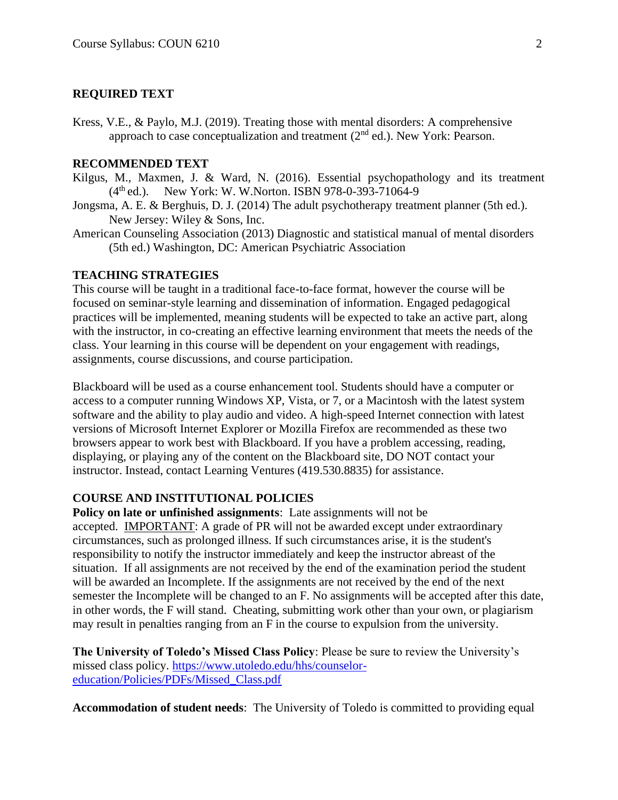#### **REQUIRED TEXT**

Kress, V.E., & Paylo, M.J. (2019). Treating those with mental disorders: A comprehensive approach to case conceptualization and treatment  $(2<sup>nd</sup>$  ed.). New York: Pearson.

#### **RECOMMENDED TEXT**

- Kilgus, M., Maxmen, J. & Ward, N. (2016). Essential psychopathology and its treatment  $(4<sup>th</sup>$ ed.). New York: W. W.Norton. ISBN 978-0-393-71064-9
- Jongsma, A. E. & Berghuis, D. J. (2014) The adult psychotherapy treatment planner (5th ed.). New Jersey: Wiley & Sons, Inc.
- American Counseling Association (2013) Diagnostic and statistical manual of mental disorders (5th ed.) Washington, DC: American Psychiatric Association

#### **TEACHING STRATEGIES**

This course will be taught in a traditional face-to-face format, however the course will be focused on seminar-style learning and dissemination of information. Engaged pedagogical practices will be implemented, meaning students will be expected to take an active part, along with the instructor, in co-creating an effective learning environment that meets the needs of the class. Your learning in this course will be dependent on your engagement with readings, assignments, course discussions, and course participation.

Blackboard will be used as a course enhancement tool. Students should have a computer or access to a computer running Windows XP, Vista, or 7, or a Macintosh with the latest system software and the ability to play audio and video. A high-speed Internet connection with latest versions of Microsoft Internet Explorer or Mozilla Firefox are recommended as these two browsers appear to work best with Blackboard. If you have a problem accessing, reading, displaying, or playing any of the content on the Blackboard site, DO NOT contact your instructor. Instead, contact Learning Ventures (419.530.8835) for assistance.

#### **COURSE AND INSTITUTIONAL POLICIES**

**Policy on late or unfinished assignments**: Late assignments will not be accepted. IMPORTANT: A grade of PR will not be awarded except under extraordinary circumstances, such as prolonged illness. If such circumstances arise, it is the student's responsibility to notify the instructor immediately and keep the instructor abreast of the situation. If all assignments are not received by the end of the examination period the student will be awarded an Incomplete. If the assignments are not received by the end of the next semester the Incomplete will be changed to an F. No assignments will be accepted after this date, in other words, the F will stand. Cheating, submitting work other than your own, or plagiarism may result in penalties ranging from an F in the course to expulsion from the university.

**The University of Toledo's Missed Class Policy**: Please be sure to review the University's missed class policy. [https://www.utoledo.edu/hhs/counselor](https://www.google.com/url?q=https://www.google.com/url?q%3Dhttps://www.utoledo.edu/hhs/counselor-education/Policies/PDFs/Missed_Class.pdf%26amp;sa%3DD%26amp;ust%3D1521043276656000%26amp;usg%3DAFQjCNE-lkyMd3lrfLKyDO4md0_ZjupPJg&sa=D&ust=1521043276947000&usg=AFQjCNGVRSPJHl4ka_gU45Abovis4R9qZQ)[education/Policies/PDFs/Missed\\_Class.pdf](https://www.google.com/url?q=https://www.google.com/url?q%3Dhttps://www.utoledo.edu/hhs/counselor-education/Policies/PDFs/Missed_Class.pdf%26amp;sa%3DD%26amp;ust%3D1521043276656000%26amp;usg%3DAFQjCNE-lkyMd3lrfLKyDO4md0_ZjupPJg&sa=D&ust=1521043276947000&usg=AFQjCNGVRSPJHl4ka_gU45Abovis4R9qZQ)

**Accommodation of student needs**: The University of Toledo is committed to providing equal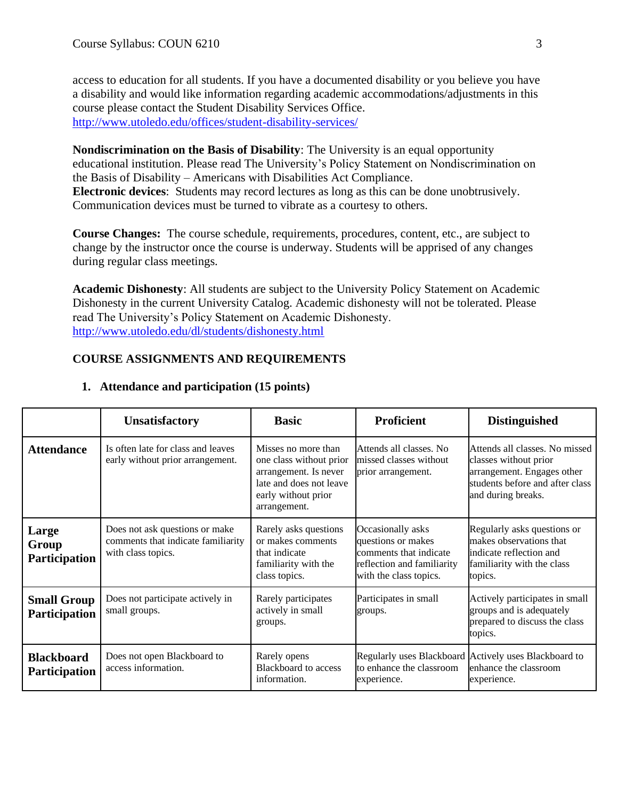access to education for all students. If you have a documented disability or you believe you have a disability and would like information regarding academic accommodations/adjustments in this course please contact the Student Disability Services Office. [http://www.utoledo.edu/offices/student-disability-services/](https://www.google.com/url?q=https://www.google.com/url?q%3Dhttp://www.utoledo.edu/offices/student-disability-services/%26amp;sa%3DD%26amp;ust%3D1521043276656000%26amp;usg%3DAFQjCNFcCdfC5nI60xIsorwjsio_9cUS4A&sa=D&ust=1521043276948000&usg=AFQjCNE1QUEyZcOYfx6jOsoBu77xEVaSrQ)

**Nondiscrimination on the Basis of Disability**: The University is an equal opportunity educational institution. Please read The University's Policy Statement on Nondiscrimination on the Basis of Disability – Americans with Disabilities Act Compliance. **Electronic devices**: Students may record lectures as long as this can be done unobtrusively. Communication devices must be turned to vibrate as a courtesy to others.

**Course Changes:** The course schedule, requirements, procedures, content, etc., are subject to change by the instructor once the course is underway. Students will be apprised of any changes during regular class meetings.

**Academic Dishonesty**: All students are subject to the University Policy Statement on Academic Dishonesty in the current University Catalog. Academic dishonesty will not be tolerated. Please read The University's Policy Statement on Academic Dishonesty. [http://www.utoledo.edu/dl/students/dishonesty.html](https://www.google.com/url?q=https://www.google.com/url?q%3Dhttp://www.utoledo.edu/dl/students/dishonesty.html%26amp;sa%3DD%26amp;ust%3D1521043276658000%26amp;usg%3DAFQjCNErpv0GKPofYZH9Fe6Cm4tFVtTmCw&sa=D&ust=1521043276948000&usg=AFQjCNHA4iBAhRAASHnNVS8t89-KEKw1Pw)

## **COURSE ASSIGNMENTS AND REQUIREMENTS**

|                                            | <b>Unsatisfactory</b>                                                                      | <b>Basic</b>                                                                                                                              | <b>Proficient</b>                                                                                                         | <b>Distinguished</b>                                                                                                                           |
|--------------------------------------------|--------------------------------------------------------------------------------------------|-------------------------------------------------------------------------------------------------------------------------------------------|---------------------------------------------------------------------------------------------------------------------------|------------------------------------------------------------------------------------------------------------------------------------------------|
| <b>Attendance</b>                          | Is often late for class and leaves<br>early without prior arrangement.                     | Misses no more than<br>one class without prior<br>arrangement. Is never<br>late and does not leave<br>early without prior<br>arrangement. | Attends all classes. No<br>missed classes without<br>prior arrangement.                                                   | Attends all classes. No missed<br>classes without prior<br>arrangement. Engages other<br>students before and after class<br>and during breaks. |
| Large<br>Group<br>Participation            | Does not ask questions or make<br>comments that indicate familiarity<br>with class topics. | Rarely asks questions<br>or makes comments<br>that indicate<br>familiarity with the<br>class topics.                                      | Occasionally asks<br>questions or makes<br>comments that indicate<br>reflection and familiarity<br>with the class topics. | Regularly asks questions or<br>makes observations that<br>indicate reflection and<br>familiarity with the class<br>topics.                     |
| <b>Small Group</b><br><b>Participation</b> | Does not participate actively in<br>small groups.                                          | Rarely participates<br>actively in small<br>groups.                                                                                       | Participates in small<br>groups.                                                                                          | Actively participates in small<br>groups and is adequately<br>prepared to discuss the class<br>topics.                                         |
| <b>Blackboard</b><br><b>Participation</b>  | Does not open Blackboard to<br>access information.                                         | Rarely opens<br><b>Blackboard</b> to access<br>information.                                                                               | to enhance the classroom<br>experience.                                                                                   | Regularly uses Blackboard Actively uses Blackboard to<br>enhance the classroom<br>experience.                                                  |

### **1. Attendance and participation (15 points)**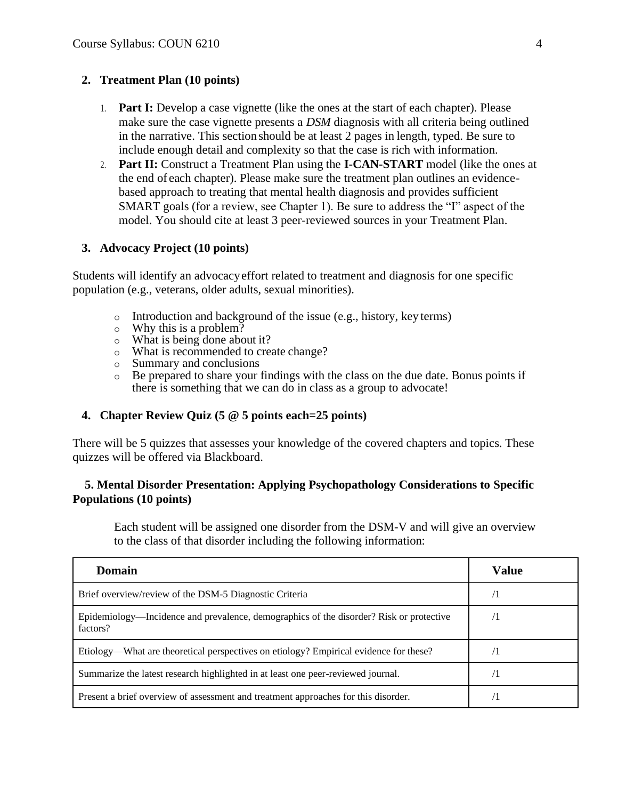### **2. Treatment Plan (10 points)**

- 1. **Part I:** Develop a case vignette (like the ones at the start of each chapter). Please make sure the case vignette presents a *DSM* diagnosis with all criteria being outlined in the narrative. This section should be at least 2 pages in length, typed. Be sure to include enough detail and complexity so that the case is rich with information.
- 2. **Part II:** Construct a Treatment Plan using the **I-CAN-START** model (like the ones at the end of each chapter). Please make sure the treatment plan outlines an evidencebased approach to treating that mental health diagnosis and provides sufficient SMART goals (for a review, see Chapter 1). Be sure to address the "I" aspect of the model. You should cite at least 3 peer-reviewed sources in your Treatment Plan.

### **3. Advocacy Project (10 points)**

Students will identify an advocacyeffort related to treatment and diagnosis for one specific population (e.g., veterans, older adults, sexual minorities).

- Introduction and background of the issue (e.g., history, key terms)
- o Why this is a problem?
- o What is being done about it?
- $\frac{3}{2}$  What is recommended to create change?
- o Summary and conclusions
- o Be prepared to share your findings with the class on the due date. Bonus points if there is something that we can do in class as a group to advocate!

### **4. Chapter Review Quiz (5 @ 5 points each=25 points)**

There will be 5 quizzes that assesses your knowledge of the covered chapters and topics. These quizzes will be offered via Blackboard.

### **5. Mental Disorder Presentation: Applying Psychopathology Considerations to Specific Populations (10 points)**

Each student will be assigned one disorder from the DSM-V and will give an overview to the class of that disorder including the following information:

| <b>Domain</b>                                                                                       | Value      |
|-----------------------------------------------------------------------------------------------------|------------|
| Brief overview/review of the DSM-5 Diagnostic Criteria                                              | $\sqrt{1}$ |
| Epidemiology—Incidence and prevalence, demographics of the disorder? Risk or protective<br>factors? | 71         |
| Etiology—What are theoretical perspectives on etiology? Empirical evidence for these?               |            |
| Summarize the latest research highlighted in at least one peer-reviewed journal.                    |            |
| Present a brief overview of assessment and treatment approaches for this disorder.                  |            |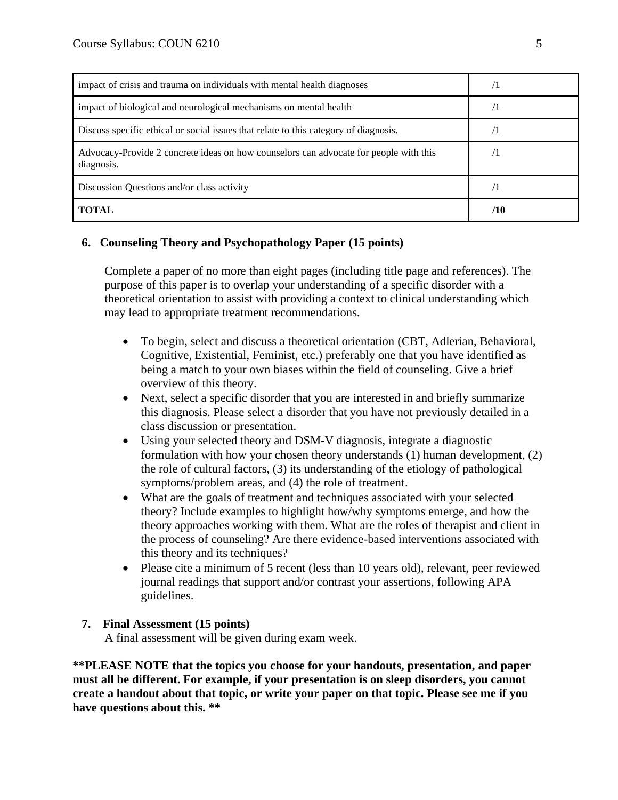| impact of crisis and trauma on individuals with mental health diagnoses                             |     |
|-----------------------------------------------------------------------------------------------------|-----|
| impact of biological and neurological mechanisms on mental health                                   |     |
| Discuss specific ethical or social issues that relate to this category of diagnosis.                |     |
| Advocacy-Provide 2 concrete ideas on how counselors can advocate for people with this<br>diagnosis. |     |
| Discussion Questions and/or class activity                                                          |     |
| <b>TOTAL</b>                                                                                        | /10 |

## **6. Counseling Theory and Psychopathology Paper (15 points)**

Complete a paper of no more than eight pages (including title page and references). The purpose of this paper is to overlap your understanding of a specific disorder with a theoretical orientation to assist with providing a context to clinical understanding which may lead to appropriate treatment recommendations.

- To begin, select and discuss a theoretical orientation (CBT, Adlerian, Behavioral, Cognitive, Existential, Feminist, etc.) preferably one that you have identified as being a match to your own biases within the field of counseling. Give a brief overview of this theory.
- Next, select a specific disorder that you are interested in and briefly summarize this diagnosis. Please select a disorder that you have not previously detailed in a class discussion or presentation.
- Using your selected theory and DSM-V diagnosis, integrate a diagnostic formulation with how your chosen theory understands (1) human development, (2) the role of cultural factors, (3) its understanding of the etiology of pathological symptoms/problem areas, and (4) the role of treatment.
- What are the goals of treatment and techniques associated with your selected theory? Include examples to highlight how/why symptoms emerge, and how the theory approaches working with them. What are the roles of therapist and client in the process of counseling? Are there evidence-based interventions associated with this theory and its techniques?
- Please cite a minimum of 5 recent (less than 10 years old), relevant, peer reviewed journal readings that support and/or contrast your assertions, following APA guidelines.

### **7. Final Assessment (15 points)**

A final assessment will be given during exam week.

**\*\*PLEASE NOTE that the topics you choose for your handouts, presentation, and paper must all be different. For example, if your presentation is on sleep disorders, you cannot create a handout about that topic, or write your paper on that topic. Please see me if you have questions about this. \*\***